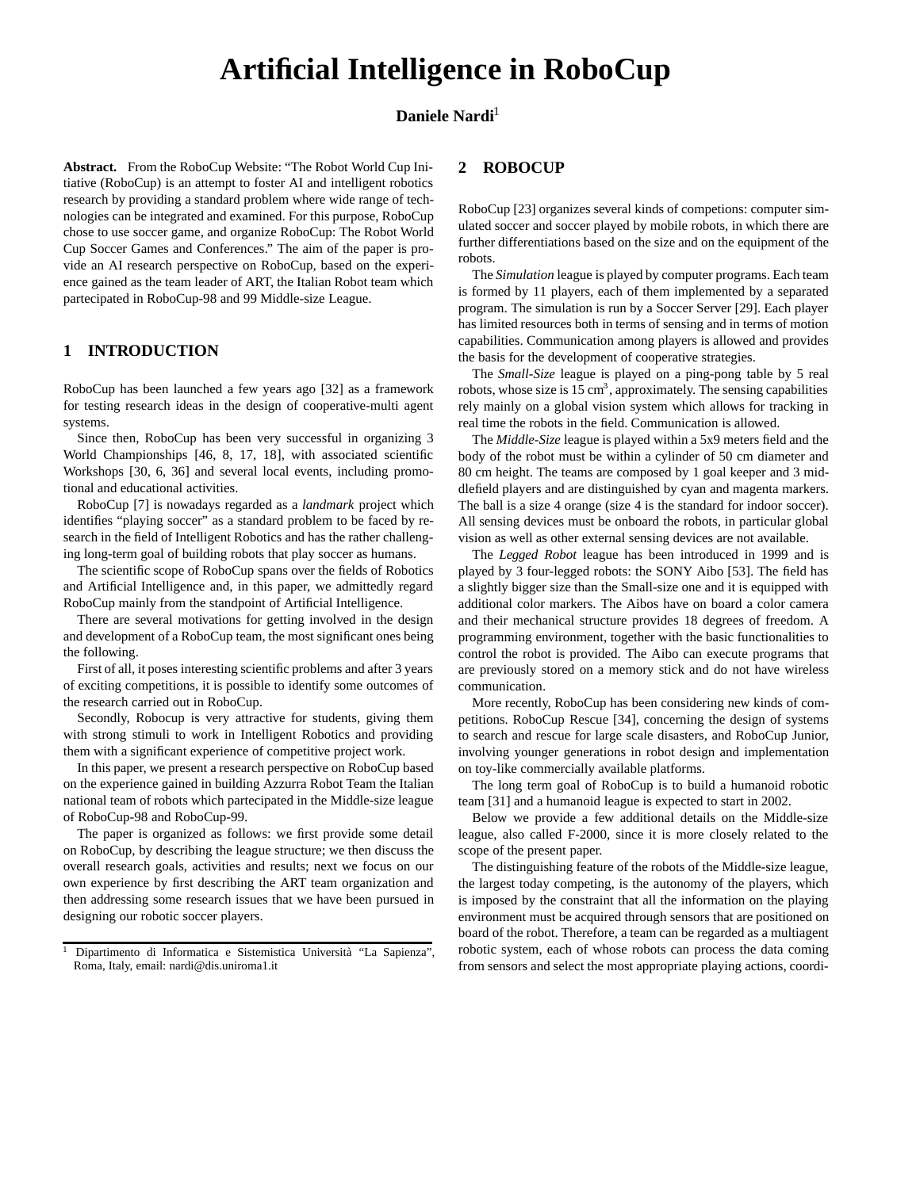# **Artificial Intelligence in RoboCup**

# **Daniele Nardi**<sup>1</sup>

**Abstract.** From the RoboCup Website: "The Robot World Cup Initiative (RoboCup) is an attempt to foster AI and intelligent robotics research by providing a standard problem where wide range of technologies can be integrated and examined. For this purpose, RoboCup chose to use soccer game, and organize RoboCup: The Robot World Cup Soccer Games and Conferences." The aim of the paper is provide an AI research perspective on RoboCup, based on the experience gained as the team leader of ART, the Italian Robot team which partecipated in RoboCup-98 and 99 Middle-size League.

# **1 INTRODUCTION**

RoboCup has been launched a few years ago [32] as a framework for testing research ideas in the design of cooperative-multi agent systems.

Since then, RoboCup has been very successful in organizing 3 World Championships [46, 8, 17, 18], with associated scientific Workshops [30, 6, 36] and several local events, including promotional and educational activities.

RoboCup [7] is nowadays regarded as a *landmark* project which identifies "playing soccer" as a standard problem to be faced by research in the field of Intelligent Robotics and has the rather challenging long-term goal of building robots that play soccer as humans.

The scientific scope of RoboCup spans over the fields of Robotics and Artificial Intelligence and, in this paper, we admittedly regard RoboCup mainly from the standpoint of Artificial Intelligence.

There are several motivations for getting involved in the design and development of a RoboCup team, the most significant ones being the following.

First of all, it poses interesting scientific problems and after 3 years of exciting competitions, it is possible to identify some outcomes of the research carried out in RoboCup.

Secondly, Robocup is very attractive for students, giving them with strong stimuli to work in Intelligent Robotics and providing them with a significant experience of competitive project work.

In this paper, we present a research perspective on RoboCup based on the experience gained in building Azzurra Robot Team the Italian national team of robots which partecipated in the Middle-size league of RoboCup-98 and RoboCup-99.

The paper is organized as follows: we first provide some detail on RoboCup, by describing the league structure; we then discuss the overall research goals, activities and results; next we focus on our own experience by first describing the ART team organization and then addressing some research issues that we have been pursued in designing our robotic soccer players.

# **2 ROBOCUP**

RoboCup [23] organizes several kinds of competions: computer simulated soccer and soccer played by mobile robots, in which there are further differentiations based on the size and on the equipment of the robots.

The *Simulation* league is played by computer programs. Each team is formed by 11 players, each of them implemented by a separated program. The simulation is run by a Soccer Server [29]. Each player has limited resources both in terms of sensing and in terms of motion capabilities. Communication among players is allowed and provides the basis for the development of cooperative strategies.

The *Small-Size* league is played on a ping-pong table by 5 real robots, whose size is  $15 \text{ cm}^3$ , approximately. The sensing capabilities rely mainly on a global vision system which allows for tracking in real time the robots in the field. Communication is allowed.

The *Middle-Size* league is played within a 5x9 meters field and the body of the robot must be within a cylinder of 50 cm diameter and 80 cm height. The teams are composed by 1 goal keeper and 3 middlefield players and are distinguished by cyan and magenta markers. The ball is a size 4 orange (size 4 is the standard for indoor soccer). All sensing devices must be onboard the robots, in particular global vision as well as other external sensing devices are not available.

The *Legged Robot* league has been introduced in 1999 and is played by 3 four-legged robots: the SONY Aibo [53]. The field has a slightly bigger size than the Small-size one and it is equipped with additional color markers. The Aibos have on board a color camera and their mechanical structure provides 18 degrees of freedom. A programming environment, together with the basic functionalities to control the robot is provided. The Aibo can execute programs that are previously stored on a memory stick and do not have wireless communication.

More recently, RoboCup has been considering new kinds of competitions. RoboCup Rescue [34], concerning the design of systems to search and rescue for large scale disasters, and RoboCup Junior, involving younger generations in robot design and implementation on toy-like commercially available platforms.

The long term goal of RoboCup is to build a humanoid robotic team [31] and a humanoid league is expected to start in 2002.

Below we provide a few additional details on the Middle-size league, also called F-2000, since it is more closely related to the scope of the present paper.

The distinguishing feature of the robots of the Middle-size league, the largest today competing, is the autonomy of the players, which is imposed by the constraint that all the information on the playing environment must be acquired through sensors that are positioned on board of the robot. Therefore, a team can be regarded as a multiagent robotic system, each of whose robots can process the data coming from sensors and select the most appropriate playing actions, coordi-

<sup>&</sup>lt;sup>1</sup> Dipartimento di Informatica e Sistemistica Università "La Sapienza", Roma, Italy, email: nardi@dis.uniroma1.it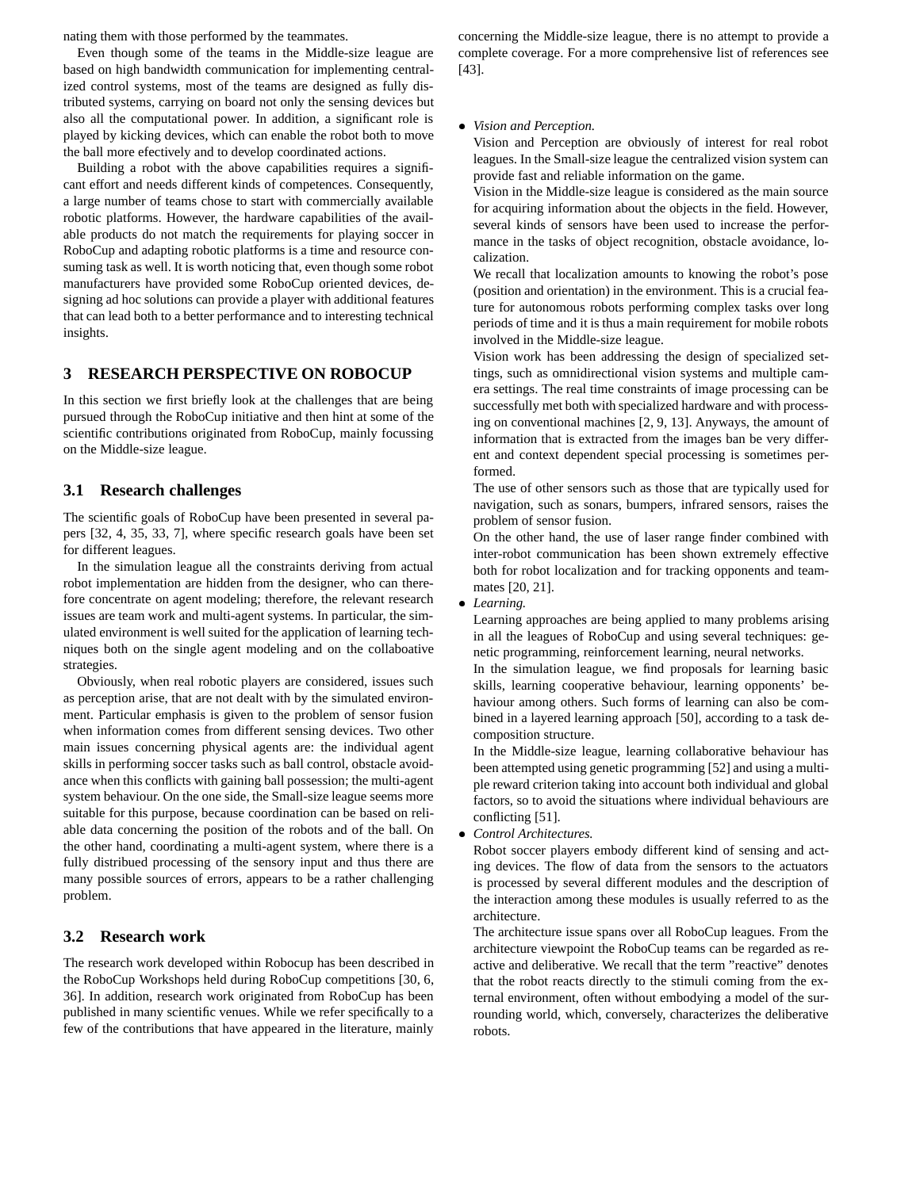nating them with those performed by the teammates.

Even though some of the teams in the Middle-size league are based on high bandwidth communication for implementing centralized control systems, most of the teams are designed as fully distributed systems, carrying on board not only the sensing devices but also all the computational power. In addition, a significant role is played by kicking devices, which can enable the robot both to move the ball more efectively and to develop coordinated actions.

Building a robot with the above capabilities requires a significant effort and needs different kinds of competences. Consequently, a large number of teams chose to start with commercially available robotic platforms. However, the hardware capabilities of the available products do not match the requirements for playing soccer in RoboCup and adapting robotic platforms is a time and resource consuming task as well. It is worth noticing that, even though some robot manufacturers have provided some RoboCup oriented devices, designing ad hoc solutions can provide a player with additional features that can lead both to a better performance and to interesting technical insights.

## **3 RESEARCH PERSPECTIVE ON ROBOCUP**

In this section we first briefly look at the challenges that are being pursued through the RoboCup initiative and then hint at some of the scientific contributions originated from RoboCup, mainly focussing on the Middle-size league.

## **3.1 Research challenges**

The scientific goals of RoboCup have been presented in several papers [32, 4, 35, 33, 7], where specific research goals have been set for different leagues.

In the simulation league all the constraints deriving from actual robot implementation are hidden from the designer, who can therefore concentrate on agent modeling; therefore, the relevant research issues are team work and multi-agent systems. In particular, the simulated environment is well suited for the application of learning techniques both on the single agent modeling and on the collaboative strategies.

Obviously, when real robotic players are considered, issues such as perception arise, that are not dealt with by the simulated environment. Particular emphasis is given to the problem of sensor fusion when information comes from different sensing devices. Two other main issues concerning physical agents are: the individual agent skills in performing soccer tasks such as ball control, obstacle avoidance when this conflicts with gaining ball possession; the multi-agent system behaviour. On the one side, the Small-size league seems more suitable for this purpose, because coordination can be based on reliable data concerning the position of the robots and of the ball. On the other hand, coordinating a multi-agent system, where there is a fully distribued processing of the sensory input and thus there are many possible sources of errors, appears to be a rather challenging problem.

# **3.2 Research work**

The research work developed within Robocup has been described in the RoboCup Workshops held during RoboCup competitions [30, 6, 36]. In addition, research work originated from RoboCup has been published in many scientific venues. While we refer specifically to a few of the contributions that have appeared in the literature, mainly concerning the Middle-size league, there is no attempt to provide a complete coverage. For a more comprehensive list of references see [43].

#### *Vision and Perception.*

Vision and Perception are obviously of interest for real robot leagues. In the Small-size league the centralized vision system can provide fast and reliable information on the game.

Vision in the Middle-size league is considered as the main source for acquiring information about the objects in the field. However, several kinds of sensors have been used to increase the performance in the tasks of object recognition, obstacle avoidance, localization.

We recall that localization amounts to knowing the robot's pose (position and orientation) in the environment. This is a crucial feature for autonomous robots performing complex tasks over long periods of time and it is thus a main requirement for mobile robots involved in the Middle-size league.

Vision work has been addressing the design of specialized settings, such as omnidirectional vision systems and multiple camera settings. The real time constraints of image processing can be successfully met both with specialized hardware and with processing on conventional machines [2, 9, 13]. Anyways, the amount of information that is extracted from the images ban be very different and context dependent special processing is sometimes performed.

The use of other sensors such as those that are typically used for navigation, such as sonars, bumpers, infrared sensors, raises the problem of sensor fusion.

On the other hand, the use of laser range finder combined with inter-robot communication has been shown extremely effective both for robot localization and for tracking opponents and teammates [20, 21].

*Learning.*

Learning approaches are being applied to many problems arising in all the leagues of RoboCup and using several techniques: genetic programming, reinforcement learning, neural networks.

In the simulation league, we find proposals for learning basic skills, learning cooperative behaviour, learning opponents' behaviour among others. Such forms of learning can also be combined in a layered learning approach [50], according to a task decomposition structure.

In the Middle-size league, learning collaborative behaviour has been attempted using genetic programming [52] and using a multiple reward criterion taking into account both individual and global factors, so to avoid the situations where individual behaviours are conflicting [51].

*Control Architectures.*

Robot soccer players embody different kind of sensing and acting devices. The flow of data from the sensors to the actuators is processed by several different modules and the description of the interaction among these modules is usually referred to as the architecture.

The architecture issue spans over all RoboCup leagues. From the architecture viewpoint the RoboCup teams can be regarded as reactive and deliberative. We recall that the term "reactive" denotes that the robot reacts directly to the stimuli coming from the external environment, often without embodying a model of the surrounding world, which, conversely, characterizes the deliberative robots.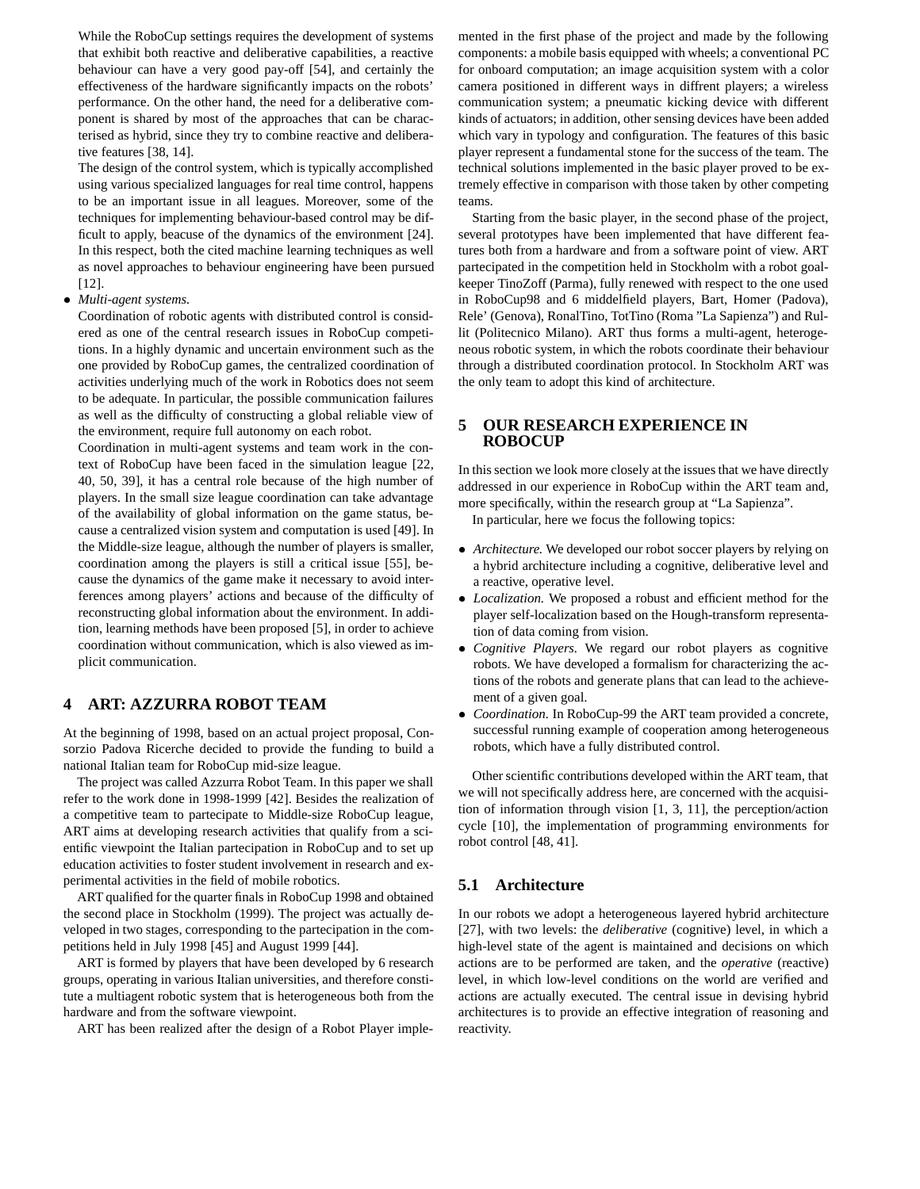While the RoboCup settings requires the development of systems that exhibit both reactive and deliberative capabilities, a reactive behaviour can have a very good pay-off [54], and certainly the effectiveness of the hardware significantly impacts on the robots' performance. On the other hand, the need for a deliberative component is shared by most of the approaches that can be characterised as hybrid, since they try to combine reactive and deliberative features [38, 14].

The design of the control system, which is typically accomplished using various specialized languages for real time control, happens to be an important issue in all leagues. Moreover, some of the techniques for implementing behaviour-based control may be difficult to apply, beacuse of the dynamics of the environment [24]. In this respect, both the cited machine learning techniques as well as novel approaches to behaviour engineering have been pursued [12].

#### *Multi-agent systems.*

Coordination of robotic agents with distributed control is considered as one of the central research issues in RoboCup competitions. In a highly dynamic and uncertain environment such as the one provided by RoboCup games, the centralized coordination of activities underlying much of the work in Robotics does not seem to be adequate. In particular, the possible communication failures as well as the difficulty of constructing a global reliable view of the environment, require full autonomy on each robot.

Coordination in multi-agent systems and team work in the context of RoboCup have been faced in the simulation league [22, 40, 50, 39], it has a central role because of the high number of players. In the small size league coordination can take advantage of the availability of global information on the game status, because a centralized vision system and computation is used [49]. In the Middle-size league, although the number of players is smaller, coordination among the players is still a critical issue [55], because the dynamics of the game make it necessary to avoid interferences among players' actions and because of the difficulty of reconstructing global information about the environment. In addition, learning methods have been proposed [5], in order to achieve coordination without communication, which is also viewed as implicit communication.

# **4 ART: AZZURRA ROBOT TEAM**

At the beginning of 1998, based on an actual project proposal, Consorzio Padova Ricerche decided to provide the funding to build a national Italian team for RoboCup mid-size league.

The project was called Azzurra Robot Team. In this paper we shall refer to the work done in 1998-1999 [42]. Besides the realization of a competitive team to partecipate to Middle-size RoboCup league, ART aims at developing research activities that qualify from a scientific viewpoint the Italian partecipation in RoboCup and to set up education activities to foster student involvement in research and experimental activities in the field of mobile robotics.

ART qualified for the quarter finals in RoboCup 1998 and obtained the second place in Stockholm (1999). The project was actually developed in two stages, corresponding to the partecipation in the competitions held in July 1998 [45] and August 1999 [44].

ART is formed by players that have been developed by 6 research groups, operating in various Italian universities, and therefore constitute a multiagent robotic system that is heterogeneous both from the hardware and from the software viewpoint.

ART has been realized after the design of a Robot Player imple-

mented in the first phase of the project and made by the following components: a mobile basis equipped with wheels; a conventional PC for onboard computation; an image acquisition system with a color camera positioned in different ways in diffrent players; a wireless communication system; a pneumatic kicking device with different kinds of actuators; in addition, other sensing devices have been added which vary in typology and configuration. The features of this basic player represent a fundamental stone for the success of the team. The technical solutions implemented in the basic player proved to be extremely effective in comparison with those taken by other competing teams.

Starting from the basic player, in the second phase of the project, several prototypes have been implemented that have different features both from a hardware and from a software point of view. ART partecipated in the competition held in Stockholm with a robot goalkeeper TinoZoff (Parma), fully renewed with respect to the one used in RoboCup98 and 6 middelfield players, Bart, Homer (Padova), Rele' (Genova), RonalTino, TotTino (Roma "La Sapienza") and Rullit (Politecnico Milano). ART thus forms a multi-agent, heterogeneous robotic system, in which the robots coordinate their behaviour through a distributed coordination protocol. In Stockholm ART was the only team to adopt this kind of architecture.

# **5 OUR RESEARCH EXPERIENCE IN ROBOCUP**

In this section we look more closely at the issues that we have directly addressed in our experience in RoboCup within the ART team and, more specifically, within the research group at "La Sapienza".

In particular, here we focus the following topics:

- *Architecture.* We developed our robot soccer players by relying on a hybrid architecture including a cognitive, deliberative level and a reactive, operative level.
- *Localization.* We proposed a robust and efficient method for the player self-localization based on the Hough-transform representation of data coming from vision.
- *Cognitive Players.* We regard our robot players as cognitive robots. We have developed a formalism for characterizing the actions of the robots and generate plans that can lead to the achievement of a given goal.
- *Coordination.* In RoboCup-99 the ART team provided a concrete, successful running example of cooperation among heterogeneous robots, which have a fully distributed control.

Other scientific contributions developed within the ART team, that we will not specifically address here, are concerned with the acquisition of information through vision [1, 3, 11], the perception/action cycle [10], the implementation of programming environments for robot control [48, 41].

# **5.1 Architecture**

In our robots we adopt a heterogeneous layered hybrid architecture [27], with two levels: the *deliberative* (cognitive) level, in which a high-level state of the agent is maintained and decisions on which actions are to be performed are taken, and the *operative* (reactive) level, in which low-level conditions on the world are verified and actions are actually executed. The central issue in devising hybrid architectures is to provide an effective integration of reasoning and reactivity.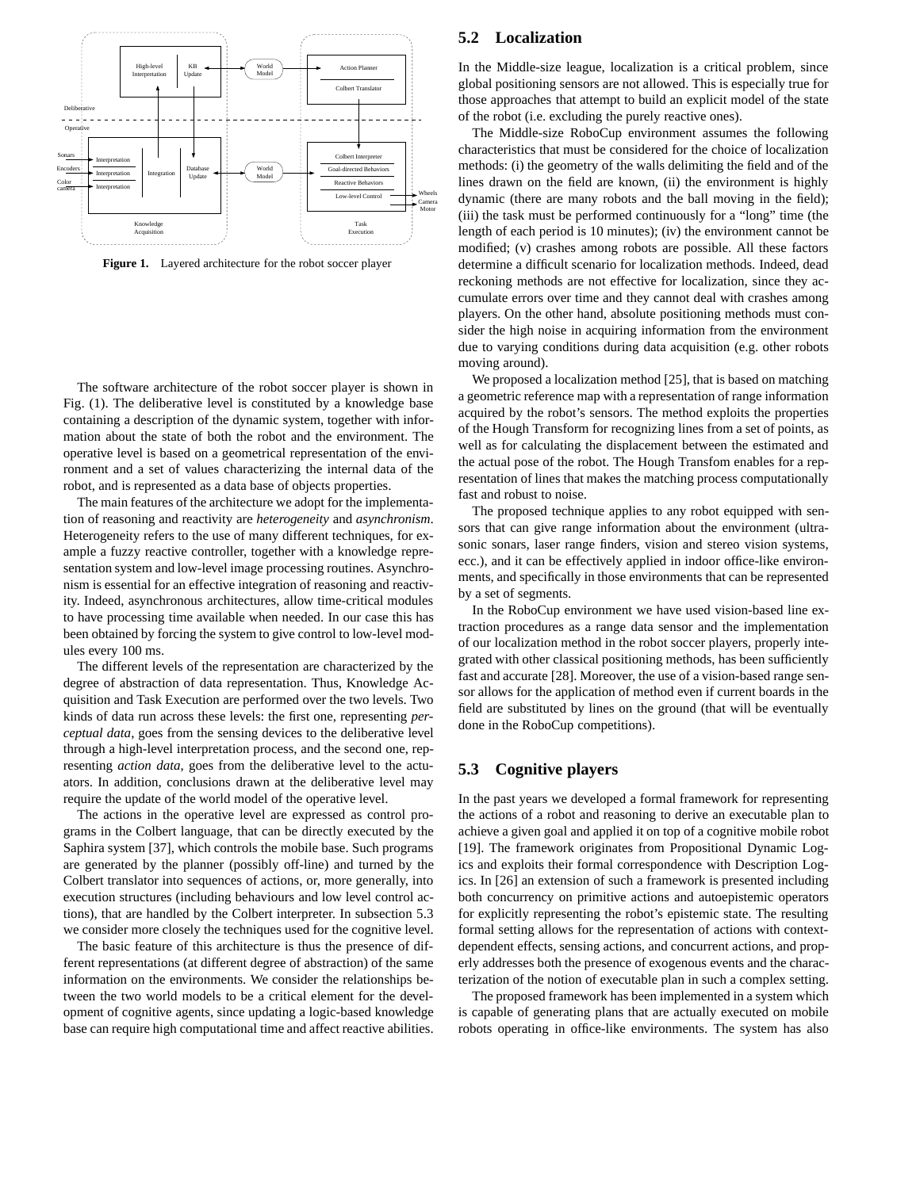

**Figure 1.** Layered architecture for the robot soccer player

The software architecture of the robot soccer player is shown in Fig. (1). The deliberative level is constituted by a knowledge base containing a description of the dynamic system, together with information about the state of both the robot and the environment. The operative level is based on a geometrical representation of the environment and a set of values characterizing the internal data of the robot, and is represented as a data base of objects properties.

The main features of the architecture we adopt for the implementation of reasoning and reactivity are *heterogeneity* and *asynchronism*. Heterogeneity refers to the use of many different techniques, for example a fuzzy reactive controller, together with a knowledge representation system and low-level image processing routines. Asynchronism is essential for an effective integration of reasoning and reactivity. Indeed, asynchronous architectures, allow time-critical modules to have processing time available when needed. In our case this has been obtained by forcing the system to give control to low-level modules every 100 ms.

The different levels of the representation are characterized by the degree of abstraction of data representation. Thus, Knowledge Acquisition and Task Execution are performed over the two levels. Two kinds of data run across these levels: the first one, representing *perceptual data*, goes from the sensing devices to the deliberative level through a high-level interpretation process, and the second one, representing *action data*, goes from the deliberative level to the actuators. In addition, conclusions drawn at the deliberative level may require the update of the world model of the operative level.

The actions in the operative level are expressed as control programs in the Colbert language, that can be directly executed by the Saphira system [37], which controls the mobile base. Such programs are generated by the planner (possibly off-line) and turned by the Colbert translator into sequences of actions, or, more generally, into execution structures (including behaviours and low level control actions), that are handled by the Colbert interpreter. In subsection 5.3 we consider more closely the techniques used for the cognitive level.

The basic feature of this architecture is thus the presence of different representations (at different degree of abstraction) of the same information on the environments. We consider the relationships between the two world models to be a critical element for the development of cognitive agents, since updating a logic-based knowledge base can require high computational time and affect reactive abilities.

#### **5.2 Localization**

In the Middle-size league, localization is a critical problem, since global positioning sensors are not allowed. This is especially true for those approaches that attempt to build an explicit model of the state of the robot (i.e. excluding the purely reactive ones).

The Middle-size RoboCup environment assumes the following characteristics that must be considered for the choice of localization methods: (i) the geometry of the walls delimiting the field and of the lines drawn on the field are known, (ii) the environment is highly dynamic (there are many robots and the ball moving in the field); (iii) the task must be performed continuously for a "long" time (the length of each period is 10 minutes); (iv) the environment cannot be modified; (v) crashes among robots are possible. All these factors determine a difficult scenario for localization methods. Indeed, dead reckoning methods are not effective for localization, since they accumulate errors over time and they cannot deal with crashes among players. On the other hand, absolute positioning methods must consider the high noise in acquiring information from the environment due to varying conditions during data acquisition (e.g. other robots moving around).

We proposed a localization method [25], that is based on matching a geometric reference map with a representation of range information acquired by the robot's sensors. The method exploits the properties of the Hough Transform for recognizing lines from a set of points, as well as for calculating the displacement between the estimated and the actual pose of the robot. The Hough Transfom enables for a representation of lines that makes the matching process computationally fast and robust to noise.

The proposed technique applies to any robot equipped with sensors that can give range information about the environment (ultrasonic sonars, laser range finders, vision and stereo vision systems, ecc.), and it can be effectively applied in indoor office-like environments, and specifically in those environments that can be represented by a set of segments.

In the RoboCup environment we have used vision-based line extraction procedures as a range data sensor and the implementation of our localization method in the robot soccer players, properly integrated with other classical positioning methods, has been sufficiently fast and accurate [28]. Moreover, the use of a vision-based range sensor allows for the application of method even if current boards in the field are substituted by lines on the ground (that will be eventually done in the RoboCup competitions).

## **5.3 Cognitive players**

In the past years we developed a formal framework for representing the actions of a robot and reasoning to derive an executable plan to achieve a given goal and applied it on top of a cognitive mobile robot [19]. The framework originates from Propositional Dynamic Logics and exploits their formal correspondence with Description Logics. In [26] an extension of such a framework is presented including both concurrency on primitive actions and autoepistemic operators for explicitly representing the robot's epistemic state. The resulting formal setting allows for the representation of actions with contextdependent effects, sensing actions, and concurrent actions, and properly addresses both the presence of exogenous events and the characterization of the notion of executable plan in such a complex setting.

The proposed framework has been implemented in a system which is capable of generating plans that are actually executed on mobile robots operating in office-like environments. The system has also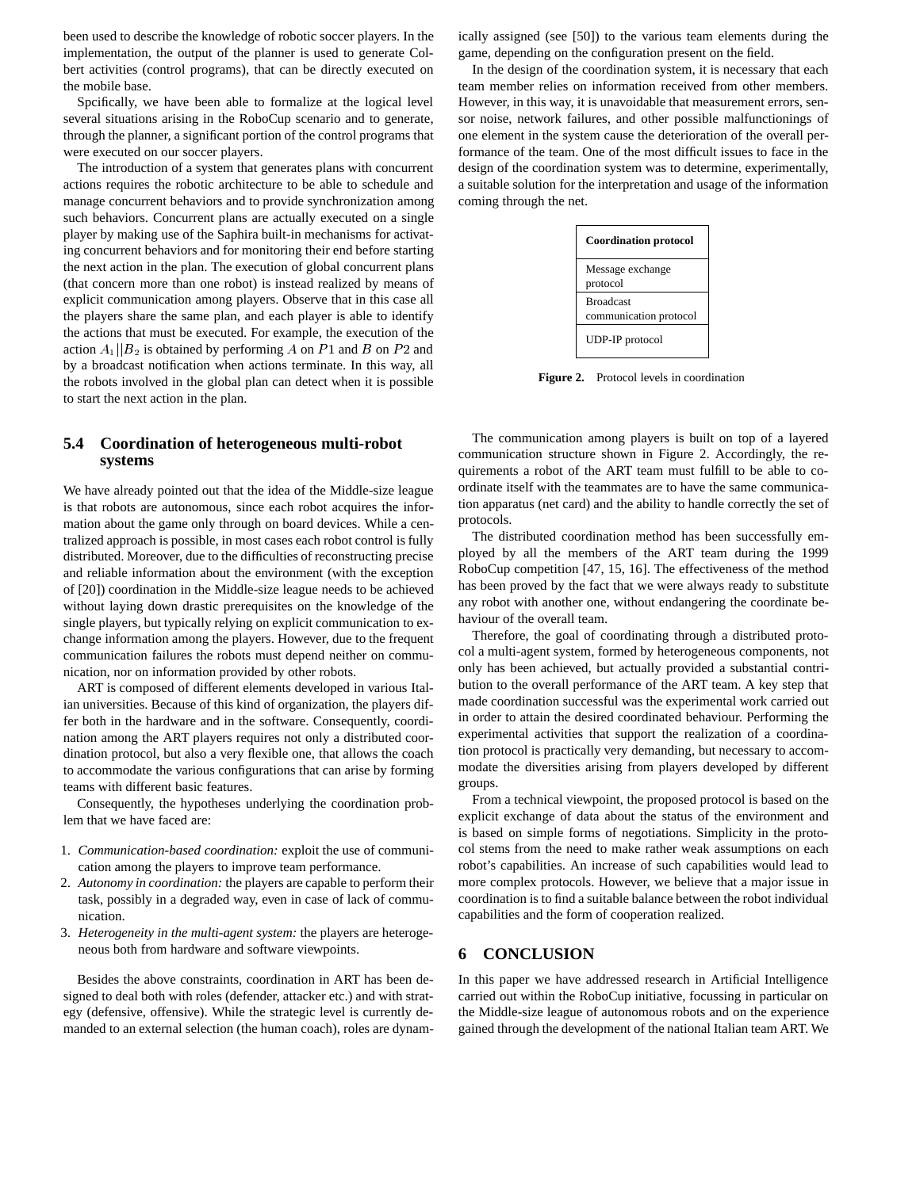been used to describe the knowledge of robotic soccer players. In the implementation, the output of the planner is used to generate Colbert activities (control programs), that can be directly executed on the mobile base.

Spcifically, we have been able to formalize at the logical level several situations arising in the RoboCup scenario and to generate, through the planner, a significant portion of the control programs that were executed on our soccer players.

The introduction of a system that generates plans with concurrent actions requires the robotic architecture to be able to schedule and manage concurrent behaviors and to provide synchronization among such behaviors. Concurrent plans are actually executed on a single player by making use of the Saphira built-in mechanisms for activating concurrent behaviors and for monitoring their end before starting the next action in the plan. The execution of global concurrent plans (that concern more than one robot) is instead realized by means of explicit communication among players. Observe that in this case all the players share the same plan, and each player is able to identify the actions that must be executed. For example, the execution of the action  $A_1||B_2$  is obtained by performing A on P1 and B on P2 and by a broadcast notification when actions terminate. In this way, all the robots involved in the global plan can detect when it is possible to start the next action in the plan.

# **5.4 Coordination of heterogeneous multi-robot systems**

We have already pointed out that the idea of the Middle-size league is that robots are autonomous, since each robot acquires the information about the game only through on board devices. While a centralized approach is possible, in most cases each robot control is fully distributed. Moreover, due to the difficulties of reconstructing precise and reliable information about the environment (with the exception of [20]) coordination in the Middle-size league needs to be achieved without laying down drastic prerequisites on the knowledge of the single players, but typically relying on explicit communication to exchange information among the players. However, due to the frequent communication failures the robots must depend neither on communication, nor on information provided by other robots.

ART is composed of different elements developed in various Italian universities. Because of this kind of organization, the players differ both in the hardware and in the software. Consequently, coordination among the ART players requires not only a distributed coordination protocol, but also a very flexible one, that allows the coach to accommodate the various configurations that can arise by forming teams with different basic features.

Consequently, the hypotheses underlying the coordination problem that we have faced are:

- 1. *Communication-based coordination:* exploit the use of communication among the players to improve team performance.
- 2. *Autonomy in coordination:* the players are capable to perform their task, possibly in a degraded way, even in case of lack of communication.
- 3. *Heterogeneity in the multi-agent system:* the players are heterogeneous both from hardware and software viewpoints.

Besides the above constraints, coordination in ART has been designed to deal both with roles (defender, attacker etc.) and with strategy (defensive, offensive). While the strategic level is currently demanded to an external selection (the human coach), roles are dynamically assigned (see [50]) to the various team elements during the game, depending on the configuration present on the field.

In the design of the coordination system, it is necessary that each team member relies on information received from other members. However, in this way, it is unavoidable that measurement errors, sensor noise, network failures, and other possible malfunctionings of one element in the system cause the deterioration of the overall performance of the team. One of the most difficult issues to face in the design of the coordination system was to determine, experimentally, a suitable solution for the interpretation and usage of the information coming through the net.



**Figure 2.** Protocol levels in coordination

The communication among players is built on top of a layered communication structure shown in Figure 2. Accordingly, the requirements a robot of the ART team must fulfill to be able to coordinate itself with the teammates are to have the same communication apparatus (net card) and the ability to handle correctly the set of protocols.

The distributed coordination method has been successfully employed by all the members of the ART team during the 1999 RoboCup competition [47, 15, 16]. The effectiveness of the method has been proved by the fact that we were always ready to substitute any robot with another one, without endangering the coordinate behaviour of the overall team.

Therefore, the goal of coordinating through a distributed protocol a multi-agent system, formed by heterogeneous components, not only has been achieved, but actually provided a substantial contribution to the overall performance of the ART team. A key step that made coordination successful was the experimental work carried out in order to attain the desired coordinated behaviour. Performing the experimental activities that support the realization of a coordination protocol is practically very demanding, but necessary to accommodate the diversities arising from players developed by different groups.

From a technical viewpoint, the proposed protocol is based on the explicit exchange of data about the status of the environment and is based on simple forms of negotiations. Simplicity in the protocol stems from the need to make rather weak assumptions on each robot's capabilities. An increase of such capabilities would lead to more complex protocols. However, we believe that a major issue in coordination is to find a suitable balance between the robot individual capabilities and the form of cooperation realized.

# **6 CONCLUSION**

In this paper we have addressed research in Artificial Intelligence carried out within the RoboCup initiative, focussing in particular on the Middle-size league of autonomous robots and on the experience gained through the development of the national Italian team ART. We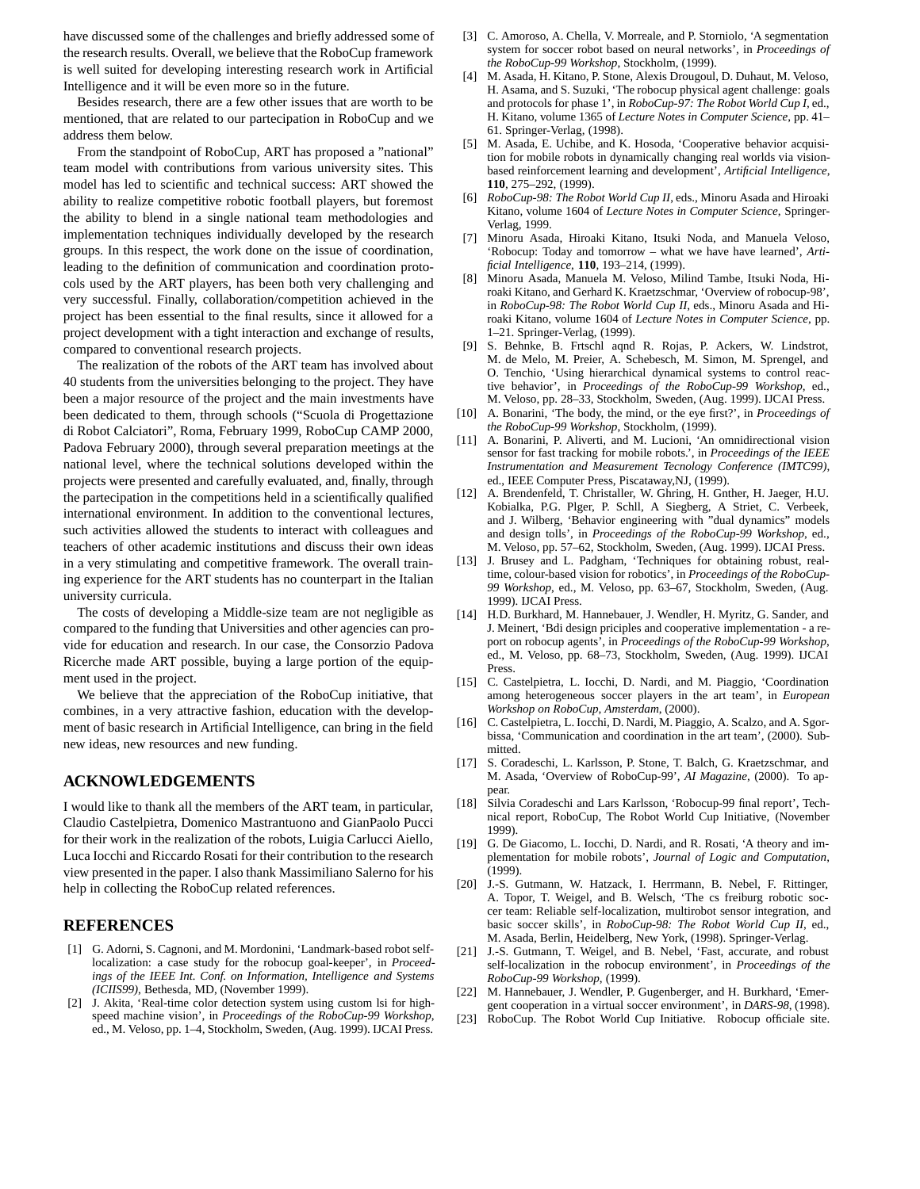have discussed some of the challenges and briefly addressed some of the research results. Overall, we believe that the RoboCup framework is well suited for developing interesting research work in Artificial Intelligence and it will be even more so in the future.

Besides research, there are a few other issues that are worth to be mentioned, that are related to our partecipation in RoboCup and we address them below.

From the standpoint of RoboCup, ART has proposed a "national" team model with contributions from various university sites. This model has led to scientific and technical success: ART showed the ability to realize competitive robotic football players, but foremost the ability to blend in a single national team methodologies and implementation techniques individually developed by the research groups. In this respect, the work done on the issue of coordination, leading to the definition of communication and coordination protocols used by the ART players, has been both very challenging and very successful. Finally, collaboration/competition achieved in the project has been essential to the final results, since it allowed for a project development with a tight interaction and exchange of results, compared to conventional research projects.

The realization of the robots of the ART team has involved about 40 students from the universities belonging to the project. They have been a major resource of the project and the main investments have been dedicated to them, through schools ("Scuola di Progettazione di Robot Calciatori", Roma, February 1999, RoboCup CAMP 2000, Padova February 2000), through several preparation meetings at the national level, where the technical solutions developed within the projects were presented and carefully evaluated, and, finally, through the partecipation in the competitions held in a scientifically qualified international environment. In addition to the conventional lectures, such activities allowed the students to interact with colleagues and teachers of other academic institutions and discuss their own ideas in a very stimulating and competitive framework. The overall training experience for the ART students has no counterpart in the Italian university curricula.

The costs of developing a Middle-size team are not negligible as compared to the funding that Universities and other agencies can provide for education and research. In our case, the Consorzio Padova Ricerche made ART possible, buying a large portion of the equipment used in the project.

We believe that the appreciation of the RoboCup initiative, that combines, in a very attractive fashion, education with the development of basic research in Artificial Intelligence, can bring in the field new ideas, new resources and new funding.

# **ACKNOWLEDGEMENTS**

I would like to thank all the members of the ART team, in particular, Claudio Castelpietra, Domenico Mastrantuono and GianPaolo Pucci for their work in the realization of the robots, Luigia Carlucci Aiello, Luca Iocchi and Riccardo Rosati for their contribution to the research view presented in the paper. I also thank Massimiliano Salerno for his help in collecting the RoboCup related references.

#### **REFERENCES**

- [1] G. Adorni, S. Cagnoni, and M. Mordonini, 'Landmark-based robot selflocalization: a case study for the robocup goal-keeper', in *Proceedings of the IEEE Int. Conf. on Information, Intelligence and Systems (ICIIS99)*, Bethesda, MD, (November 1999).
- [2] J. Akita, 'Real-time color detection system using custom lsi for highspeed machine vision', in *Proceedings of the RoboCup-99 Workshop*, ed., M. Veloso, pp. 1–4, Stockholm, Sweden, (Aug. 1999). IJCAI Press.
- [3] C. Amoroso, A. Chella, V. Morreale, and P. Storniolo, 'A segmentation system for soccer robot based on neural networks', in *Proceedings of the RoboCup-99 Workshop*, Stockholm, (1999).
- [4] M. Asada, H. Kitano, P. Stone, Alexis Drougoul, D. Duhaut, M. Veloso, H. Asama, and S. Suzuki, 'The robocup physical agent challenge: goals and protocols for phase 1', in *RoboCup-97: The Robot World Cup I*, ed., H. Kitano, volume 1365 of *Lecture Notes in Computer Science*, pp. 41– 61. Springer-Verlag, (1998).
- [5] M. Asada, E. Uchibe, and K. Hosoda, 'Cooperative behavior acquisition for mobile robots in dynamically changing real worlds via visionbased reinforcement learning and development', *Artificial Intelligence*, **110**, 275–292, (1999).
- [6] *RoboCup-98: The Robot World Cup II*, eds., Minoru Asada and Hiroaki Kitano, volume 1604 of *Lecture Notes in Computer Science*, Springer-Verlag, 1999.
- [7] Minoru Asada, Hiroaki Kitano, Itsuki Noda, and Manuela Veloso, 'Robocup: Today and tomorrow – what we have have learned', *Artificial Intelligence*, **110**, 193–214, (1999).
- [8] Minoru Asada, Manuela M. Veloso, Milind Tambe, Itsuki Noda, Hiroaki Kitano, and Gerhard K. Kraetzschmar, 'Overview of robocup-98', in *RoboCup-98: The Robot World Cup II*, eds., Minoru Asada and Hiroaki Kitano, volume 1604 of *Lecture Notes in Computer Science*, pp. 1–21. Springer-Verlag, (1999).
- [9] S. Behnke, B. Frtschl aqnd R. Rojas, P. Ackers, W. Lindstrot, M. de Melo, M. Preier, A. Schebesch, M. Simon, M. Sprengel, and O. Tenchio, 'Using hierarchical dynamical systems to control reactive behavior', in *Proceedings of the RoboCup-99 Workshop*, ed., M. Veloso, pp. 28–33, Stockholm, Sweden, (Aug. 1999). IJCAI Press.
- [10] A. Bonarini, 'The body, the mind, or the eye first?', in *Proceedings of the RoboCup-99 Workshop*, Stockholm, (1999).
- [11] A. Bonarini, P. Aliverti, and M. Lucioni, 'An omnidirectional vision sensor for fast tracking for mobile robots.', in *Proceedings of the IEEE Instrumentation and Measurement Tecnology Conference (IMTC99)*, ed., IEEE Computer Press, Piscataway,NJ, (1999).
- [12] A. Brendenfeld, T. Christaller, W. Ghring, H. Gnther, H. Jaeger, H.U. Kobialka, P.G. Plger, P. Schll, A Siegberg, A Striet, C. Verbeek, and J. Wilberg, 'Behavior engineering with "dual dynamics" models and design tolls', in *Proceedings of the RoboCup-99 Workshop*, ed., M. Veloso, pp. 57–62, Stockholm, Sweden, (Aug. 1999). IJCAI Press.
- [13] J. Brusey and L. Padgham, 'Techniques for obtaining robust, realtime, colour-based vision for robotics', in *Proceedings of the RoboCup-99 Workshop*, ed., M. Veloso, pp. 63–67, Stockholm, Sweden, (Aug. 1999). IJCAI Press.
- [14] H.D. Burkhard, M. Hannebauer, J. Wendler, H. Myritz, G. Sander, and J. Meinert, 'Bdi design priciples and cooperative implementation - a report on robocup agents', in *Proceedings of the RoboCup-99 Workshop*, ed., M. Veloso, pp. 68–73, Stockholm, Sweden, (Aug. 1999). IJCAI Press.
- [15] C. Castelpietra, L. Iocchi, D. Nardi, and M. Piaggio, 'Coordination among heterogeneous soccer players in the art team', in *European Workshop on RoboCup, Amsterdam*, (2000).
- [16] C. Castelpietra, L. Iocchi, D. Nardi, M. Piaggio, A. Scalzo, and A. Sgorbissa, 'Communication and coordination in the art team', (2000). Submitted.
- [17] S. Coradeschi, L. Karlsson, P. Stone, T. Balch, G. Kraetzschmar, and M. Asada, 'Overview of RoboCup-99', *AI Magazine*, (2000). To appear.
- [18] Silvia Coradeschi and Lars Karlsson, 'Robocup-99 final report', Technical report, RoboCup, The Robot World Cup Initiative, (November 1999).
- [19] G. De Giacomo, L. Iocchi, D. Nardi, and R. Rosati, 'A theory and implementation for mobile robots', *Journal of Logic and Computation*, (1999).
- [20] J.-S. Gutmann, W. Hatzack, I. Herrmann, B. Nebel, F. Rittinger, A. Topor, T. Weigel, and B. Welsch, 'The cs freiburg robotic soccer team: Reliable self-localization, multirobot sensor integration, and basic soccer skills', in *RoboCup-98: The Robot World Cup II*, ed., M. Asada, Berlin, Heidelberg, New York, (1998). Springer-Verlag.
- [21] J.-S. Gutmann, T. Weigel, and B. Nebel, 'Fast, accurate, and robust self-localization in the robocup environment', in *Proceedings of the RoboCup-99 Workshop*, (1999).
- [22] M. Hannebauer, J. Wendler, P. Gugenberger, and H. Burkhard, 'Emergent cooperation in a virtual soccer environment', in *DARS-98*, (1998).
- [23] RoboCup. The Robot World Cup Initiative. Robocup officiale site.